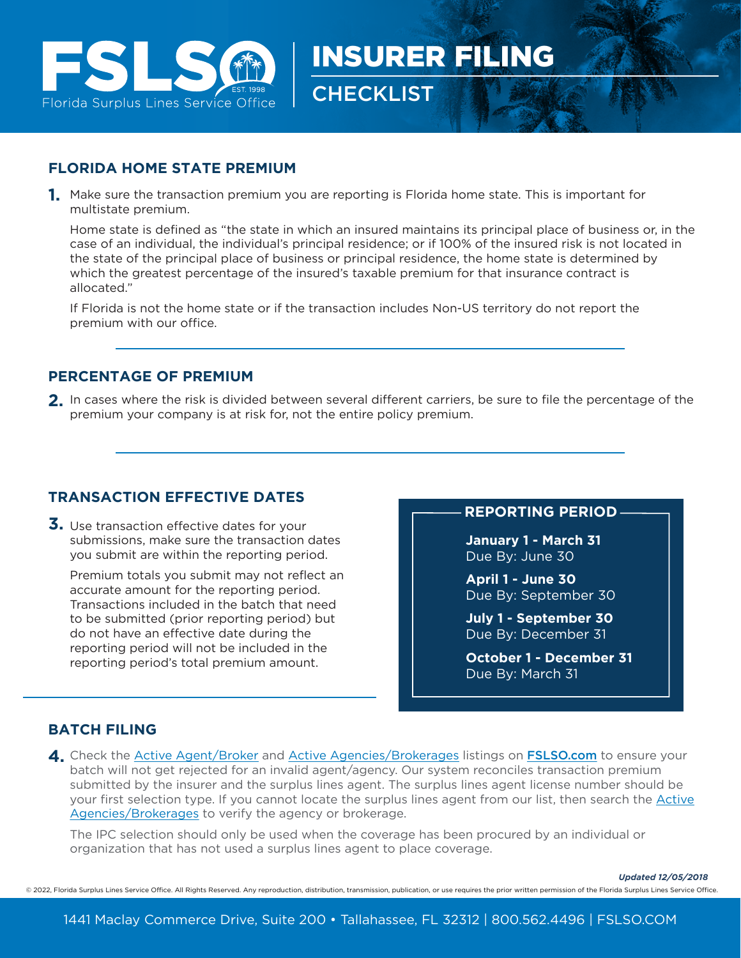

## **FLORIDA HOME STATE PREMIUM**

Make sure the transaction premium you are reporting is Florida home state. This is important for **1.** multistate premium.

Home state is defined as "the state in which an insured maintains its principal place of business or, in the case of an individual, the individual's principal residence; or if 100% of the insured risk is not located in the state of the principal place of business or principal residence, the home state is determined by which the greatest percentage of the insured's taxable premium for that insurance contract is allocated."

**CHECKLIST** 

INSURER FILING

If Florida is not the home state or if the transaction includes Non-US territory do not report the premium with our office.

## **PERCENTAGE OF PREMIUM**

2. In cases where the risk is divided between several different carriers, be sure to file the percentage of the premium your company is at risk for, not the entire policy premium.

## **TRANSACTION EFFECTIVE DATES**

**3.** Use transaction effective dates for your submissions, make sure the transaction dates you submit are within the reporting period.

Premium totals you submit may not reflect an accurate amount for the reporting period. Transactions included in the batch that need to be submitted (prior reporting period) but do not have an effective date during the reporting period will not be included in the reporting period's total premium amount.

#### **REPORTING PERIOD**

**January 1 - March 31** Due By: June 30

**April 1 - June 30** Due By: September 30

**July 1 - September 30** Due By: December 31

**October 1 - December 31** Due By: March 31

## **BATCH FILING**

4. Check the <u>Active Agent/Broker</u> and <u>Active Agencies/Brokerages</u> listings on **[FSLSO.com](https://www.fslso.com/)** to ensure your batch will not get rejected for an invalid agent/agency. Our system reconciles transaction premium submitted by the insurer and the surplus lines agent. The surplus lines agent license number should be your first selection type. If you cannot locate the surplus lines agent from our list, then search the Active Agencies/Brokerages to verify the agency or brokerage.

The IPC selection should only be used when the coverage has been procured by an individual or organization that has not used a surplus lines agent to place coverage.

*Updated 12/05/2018*

© 2022, Florida Surplus Lines Service Office. All Rights Reserved. Any reproduction, distribution, transmission, publication, or use requires the prior written permission of the Florida Surplus Lines Service Office